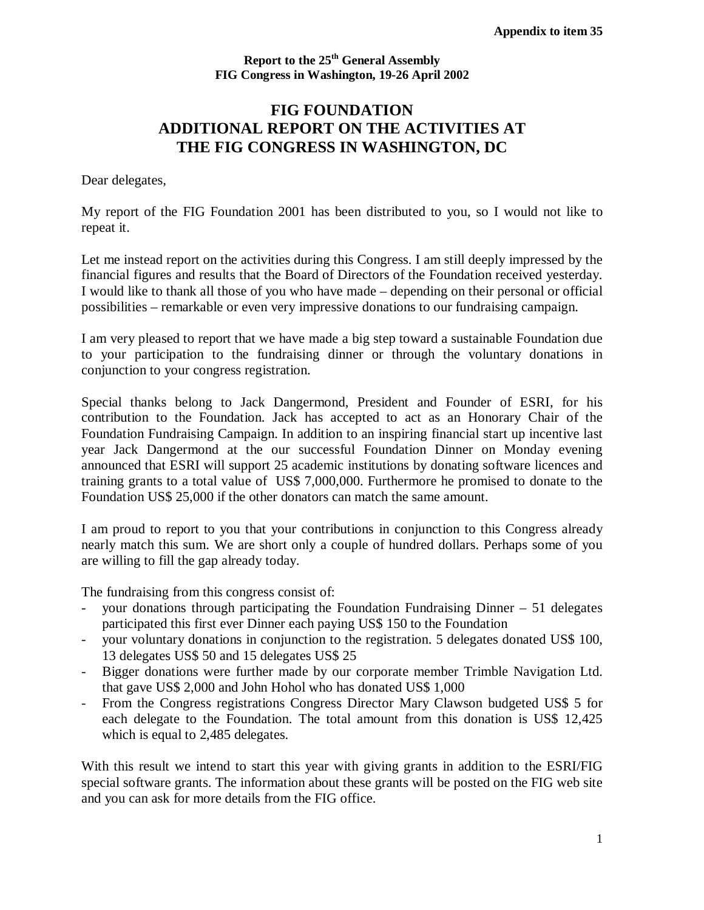## **Report to the 25th General Assembly FIG Congress in Washington, 19-26 April 2002**

## **FIG FOUNDATION ADDITIONAL REPORT ON THE ACTIVITIES AT THE FIG CONGRESS IN WASHINGTON, DC**

Dear delegates,

My report of the FIG Foundation 2001 has been distributed to you, so I would not like to repeat it.

Let me instead report on the activities during this Congress. I am still deeply impressed by the financial figures and results that the Board of Directors of the Foundation received yesterday. I would like to thank all those of you who have made – depending on their personal or official possibilities – remarkable or even very impressive donations to our fundraising campaign.

I am very pleased to report that we have made a big step toward a sustainable Foundation due to your participation to the fundraising dinner or through the voluntary donations in conjunction to your congress registration.

Special thanks belong to Jack Dangermond, President and Founder of ESRI, for his contribution to the Foundation. Jack has accepted to act as an Honorary Chair of the Foundation Fundraising Campaign. In addition to an inspiring financial start up incentive last year Jack Dangermond at the our successful Foundation Dinner on Monday evening announced that ESRI will support 25 academic institutions by donating software licences and training grants to a total value of US\$ 7,000,000. Furthermore he promised to donate to the Foundation US\$ 25,000 if the other donators can match the same amount.

I am proud to report to you that your contributions in conjunction to this Congress already nearly match this sum. We are short only a couple of hundred dollars. Perhaps some of you are willing to fill the gap already today.

The fundraising from this congress consist of:

- your donations through participating the Foundation Fundraising Dinner  $-51$  delegates participated this first ever Dinner each paying US\$ 150 to the Foundation
- your voluntary donations in conjunction to the registration. 5 delegates donated US\$ 100, 13 delegates US\$ 50 and 15 delegates US\$ 25
- Bigger donations were further made by our corporate member Trimble Navigation Ltd. that gave US\$ 2,000 and John Hohol who has donated US\$ 1,000
- From the Congress registrations Congress Director Mary Clawson budgeted US\$ 5 for each delegate to the Foundation. The total amount from this donation is US\$ 12,425 which is equal to 2,485 delegates.

With this result we intend to start this year with giving grants in addition to the ESRI/FIG special software grants. The information about these grants will be posted on the FIG web site and you can ask for more details from the FIG office.